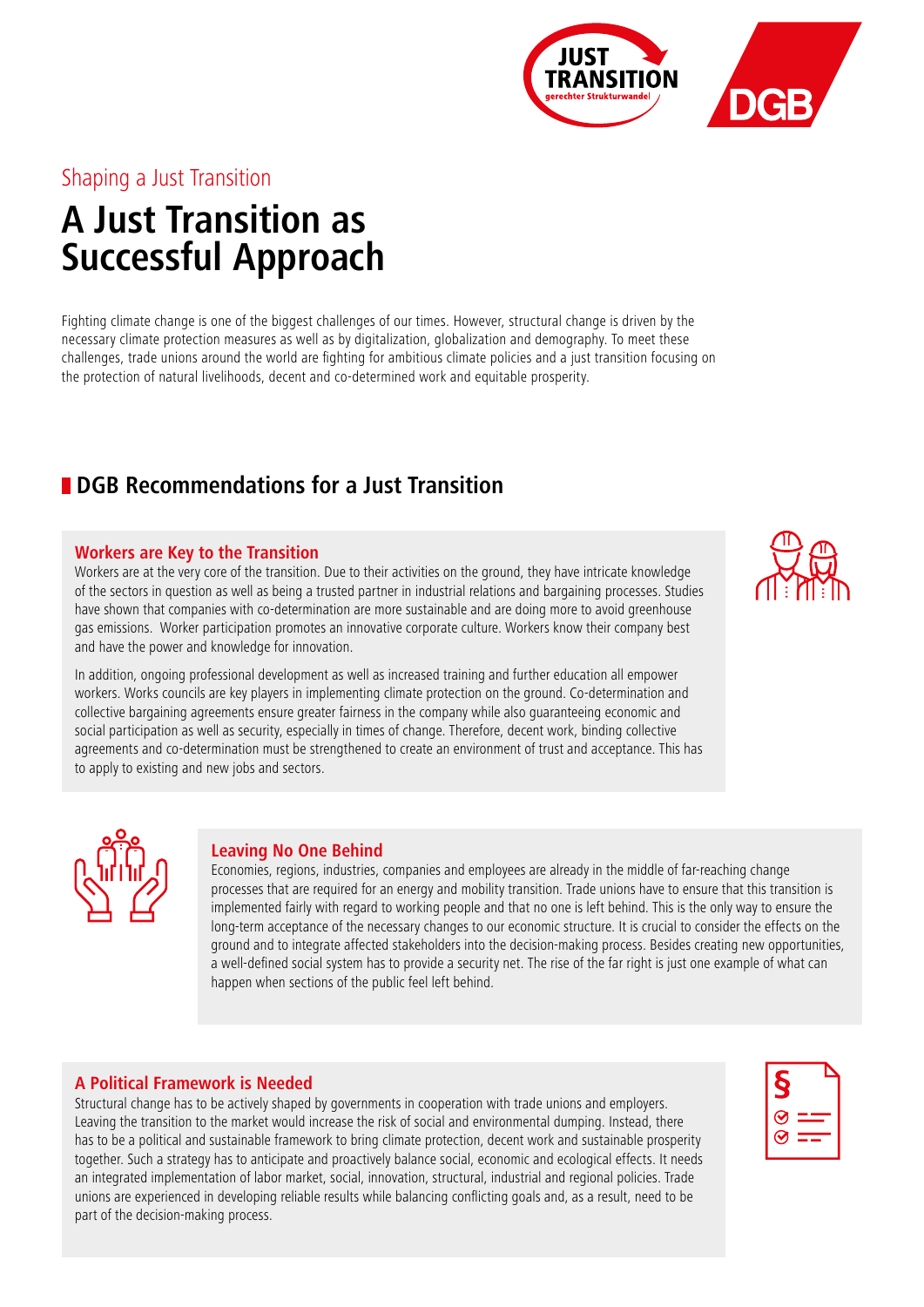## Shaping a Just Transition

# **A Just Transition as Successful Approach**

Fighting climate change is one of the biggest challenges of our times. However, structural change is driven by the necessary climate protection measures as well as by digitalization, globalization and demography. To meet these challenges, trade unions around the world are fighting for ambitious climate policies and a just transition focusing on the protection of natural livelihoods, decent and co-determined work and equitable prosperity.

# **DGB Recommendations for a Just Transition**

### **Workers are Key to the Transition**

Workers are at the very core of the transition. Due to their activities on the ground, they have intricate knowledge of the sectors in question as well as being a trusted partner in industrial relations and bargaining processes. Studies have shown that companies with co-determination are more sustainable and are doing more to avoid greenhouse gas emissions. Worker participation promotes an innovative corporate culture. Workers know their company best and have the power and knowledge for innovation.

In addition, ongoing professional development as well as increased training and further education all empower workers. Works councils are key players in implementing climate protection on the ground. Co-determination and collective bargaining agreements ensure greater fairness in the company while also guaranteeing economic and social participation as well as security, especially in times of change. Therefore, decent work, binding collective agreements and co-determination must be strengthened to create an environment of trust and acceptance. This has to apply to existing and new jobs and sectors.

### **Leaving No One Behind**

Economies, regions, industries, companies and employees are already in the middle of far-reaching change processes that are required for an energy and mobility transition. Trade unions have to ensure that this transition is implemented fairly with regard to working people and that no one is left behind. This is the only way to ensure the long-term acceptance of the necessary changes to our economic structure. It is crucial to consider the effects on the ground and to integrate affected stakeholders into the decision-making process. Besides creating new opportunities, a well-defined social system has to provide a security net. The rise of the far right is just one example of what can happen when sections of the public feel left behind.

### **A Political Framework is Needed**

Structural change has to be actively shaped by governments in cooperation with trade unions and employers. Leaving the transition to the market would increase the risk of social and environmental dumping. Instead, there has to be a political and sustainable framework to bring climate protection, decent work and sustainable prosperity together. Such a strategy has to anticipate and proactively balance social, economic and ecological effects. It needs an integrated implementation of labor market, social, innovation, structural, industrial and regional policies. Trade unions are experienced in developing reliable results while balancing conflicting goals and, as a result, need to be part of the decision-making process.